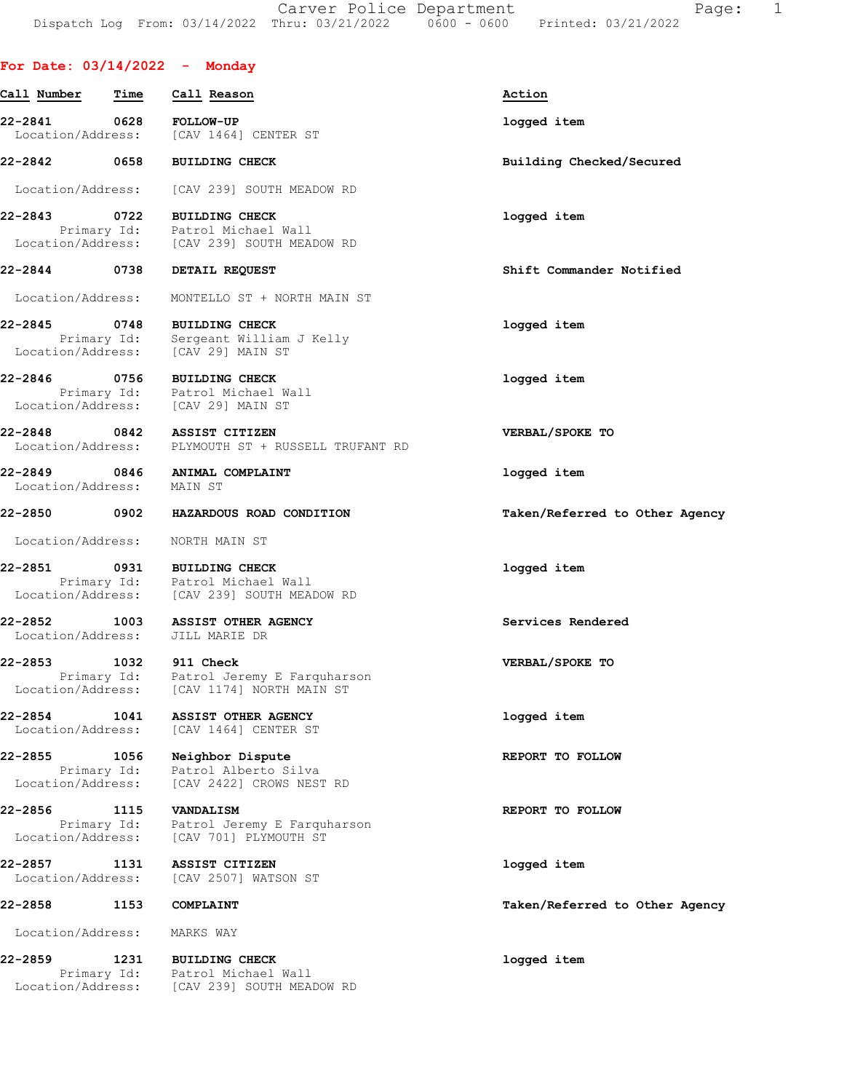# For Date: 03/14/2022 - Monday

| Call Number                       | Time                | Call Reason                                                                                               | Action                         |
|-----------------------------------|---------------------|-----------------------------------------------------------------------------------------------------------|--------------------------------|
| 22-2841 0628<br>Location/Address: |                     | <b>FOLLOW-UP</b><br>[CAV 1464] CENTER ST                                                                  | logged item                    |
| 22-2842 0658                      |                     | <b>BUILDING CHECK</b>                                                                                     | Building Checked/Secured       |
| Location/Address:                 |                     | [CAV 239] SOUTH MEADOW RD                                                                                 |                                |
| 22-2843                           | 0722                | <b>BUILDING CHECK</b><br>Primary Id: Patrol Michael Wall<br>  Location/Address: [CAV 239] SOUTH MEADOW RD | logged item                    |
| 22-2844 0738                      |                     | DETAIL REQUEST                                                                                            | Shift Commander Notified       |
| Location/Address:                 |                     | MONTELLO ST + NORTH MAIN ST                                                                               |                                |
| 22-2845 0748                      |                     | <b>BUILDING CHECK</b><br>Primary Id: Sergeant William J Kelly<br>Location/Address: [CAV 29] MAIN ST       | logged item                    |
|                                   |                     | 22-2846 0756 BUILDING CHECK<br>Primary Id: Patrol Michael Wall<br>Location/Address: [CAV 29] MAIN ST      | logged item                    |
|                                   |                     | 22-2848 0842 ASSIST CITIZEN<br>Location/Address: PLYMOUTH ST + RUSSELL TRUFANT RD                         | VERBAL/SPOKE TO                |
| Location/Address:                 |                     | 22-2849 0846 ANIMAL COMPLAINT<br>MAIN ST                                                                  | logged item                    |
| 22-2850 0902                      |                     | HAZARDOUS ROAD CONDITION                                                                                  | Taken/Referred to Other Agency |
|                                   |                     | Location/Address: NORTH MAIN ST                                                                           |                                |
| 22-2851                           |                     | 0931 BUILDING CHECK<br>Primary Id: Patrol Michael Wall<br>Location/Address: [CAV 239] SOUTH MEADOW RD     | logged item                    |
| 22-2852 1003<br>Location/Address: |                     | <b>ASSIST OTHER AGENCY</b><br>JILL MARIE DR                                                               | Services Rendered              |
| 22-2853                           |                     | 1032 911 Check<br>Primary Id: Patrol Jeremy E Farquharson<br>Location/Address: [CAV 1174] NORTH MAIN ST   | VERBAL/SPOKE TO                |
| 22-2854<br>Location/Address:      | 1041                | ASSIST OTHER AGENCY<br>[CAV 1464] CENTER ST                                                               | logged item                    |
| 22-2855<br>Location/Address:      | 1056<br>Primary Id: | Neighbor Dispute<br>Patrol Alberto Silva<br>[CAV 2422] CROWS NEST RD                                      | REPORT TO FOLLOW               |
| 22-2856<br>Location/Address:      | 1115<br>Primary Id: | <b>VANDALISM</b><br>Patrol Jeremy E Farquharson<br>[CAV 701] PLYMOUTH ST                                  | REPORT TO FOLLOW               |
| 22-2857<br>Location/Address:      | 1131                | <b>ASSIST CITIZEN</b><br>[CAV 2507] WATSON ST                                                             | logged item                    |
| 22-2858                           | 1153                | COMPLAINT                                                                                                 | Taken/Referred to Other Agency |
| Location/Address:                 |                     | MARKS WAY                                                                                                 |                                |
| 22-2859<br>Location/Address:      | 1231<br>Primary Id: | <b>BUILDING CHECK</b><br>Patrol Michael Wall<br>[CAV 239] SOUTH MEADOW RD                                 | logged item                    |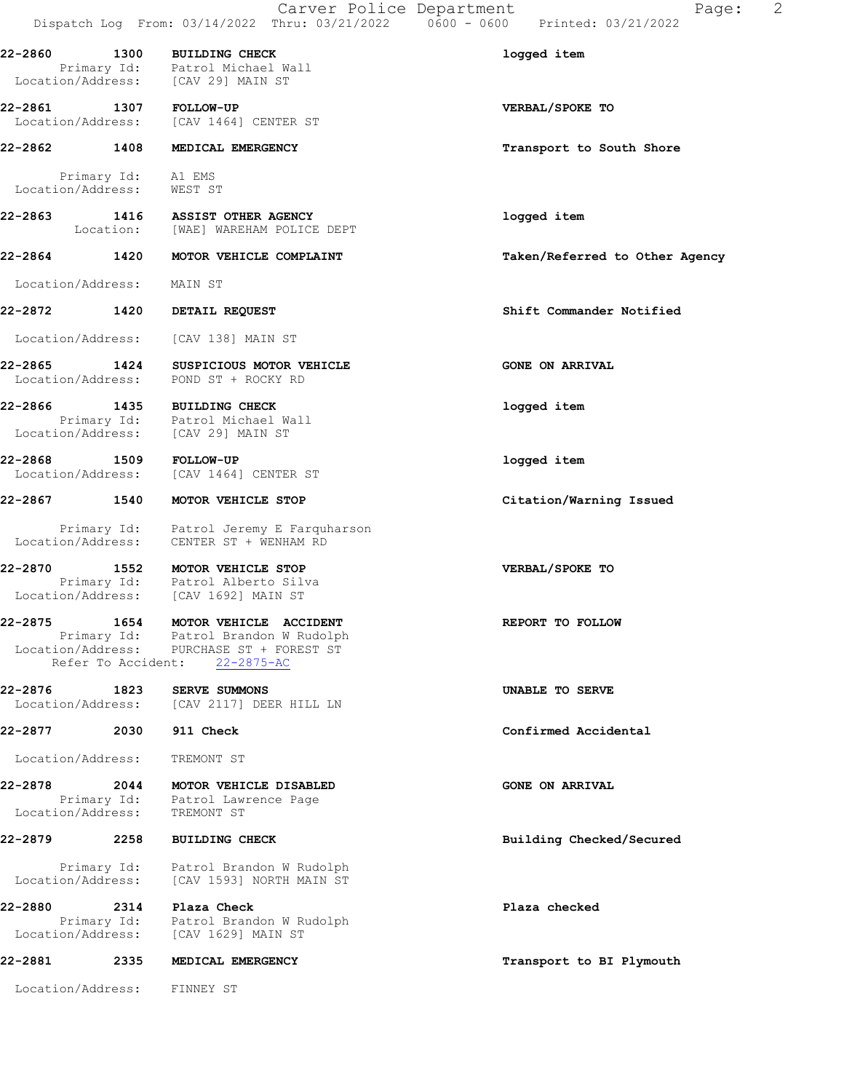|                              |                            | Carver Police Department<br>Dispatch Log From: 03/14/2022 Thru: 03/21/2022   0600 - 0600   Printed: 03/21/2022                  | 2<br>Page:                     |
|------------------------------|----------------------------|---------------------------------------------------------------------------------------------------------------------------------|--------------------------------|
|                              |                            | 22-2860 1300 BUILDING CHECK<br>Primary Id: Patrol Michael Wall<br>Location/Address: [CAV 29] MAIN ST                            | logged item                    |
| 22-2861 1307 FOLLOW-UP       |                            | Location/Address: [CAV 1464] CENTER ST                                                                                          | VERBAL/SPOKE TO                |
| 22-2862                      | 1408                       | MEDICAL EMERGENCY                                                                                                               | Transport to South Shore       |
| Location/Address: WEST ST    | Primary Id: A1 EMS         |                                                                                                                                 |                                |
| 22-2863                      |                            | 1416 ASSIST OTHER AGENCY<br>Location: [WAE] WAREHAM POLICE DEPT                                                                 | logged item                    |
|                              |                            | 22-2864 1420 MOTOR VEHICLE COMPLAINT                                                                                            | Taken/Referred to Other Agency |
| Location/Address:            |                            | MAIN ST                                                                                                                         |                                |
| 22-2872                      |                            | 1420 DETAIL REQUEST                                                                                                             | Shift Commander Notified       |
| Location/Address:            |                            | [CAV 138] MAIN ST                                                                                                               |                                |
|                              |                            | 22-2865 1424 SUSPICIOUS MOTOR VEHICLE<br>Location/Address: POND ST + ROCKY RD                                                   | <b>GONE ON ARRIVAL</b>         |
|                              |                            | 22-2866 1435 BUILDING CHECK<br>Primary Id: Patrol Michael Wall<br>Location/Address: [CAV 29] MAIN ST                            | logged item                    |
| 22-2868 1509                 |                            | <b>FOLLOW-UP</b><br>Location/Address: [CAV 1464] CENTER ST                                                                      | logged item                    |
| 22-2867 1540                 |                            | MOTOR VEHICLE STOP                                                                                                              | Citation/Warning Issued        |
|                              |                            | Primary Id: Patrol Jeremy E Farquharson<br>Location/Address: CENTER ST + WENHAM RD                                              |                                |
|                              |                            | 22-2870 1552 MOTOR VEHICLE STOP<br>Primary Id: Patrol Alberto Silva<br>Location/Address: [CAV 1692] MAIN ST                     | VERBAL/SPOKE TO                |
| 22-2875                      | 1654<br>Refer To Accident: | MOTOR VEHICLE ACCIDENT<br>Primary Id: Patrol Brandon W Rudolph<br>Location/Address: PURCHASE ST + FOREST ST<br>$22 - 2875 - AC$ | REPORT TO FOLLOW               |
| 22-2876<br>Location/Address: | 1823                       | <b>SERVE SUMMONS</b><br>[CAV 2117] DEER HILL LN                                                                                 | UNABLE TO SERVE                |
| 22-2877                      | 2030                       | 911 Check                                                                                                                       | Confirmed Accidental           |
| Location/Address:            |                            | TREMONT ST                                                                                                                      |                                |
| 22-2878<br>Location/Address: | 2044                       | MOTOR VEHICLE DISABLED<br>Primary Id: Patrol Lawrence Page<br>TREMONT ST                                                        | <b>GONE ON ARRIVAL</b>         |
| 22-2879                      | 2258                       | <b>BUILDING CHECK</b>                                                                                                           | Building Checked/Secured       |
| Location/Address:            | Primary Id:                | Patrol Brandon W Rudolph<br>[CAV 1593] NORTH MAIN ST                                                                            |                                |
| 22-2880                      |                            | 2314 Plaza Check                                                                                                                | Plaza checked                  |
| Location/Address:            |                            | Primary Id: Patrol Brandon W Rudolph<br>[CAV 1629] MAIN ST                                                                      |                                |
| 22-2881                      | 2335                       | MEDICAL EMERGENCY                                                                                                               | Transport to BI Plymouth       |
|                              |                            | Location/Address: FINNEY ST                                                                                                     |                                |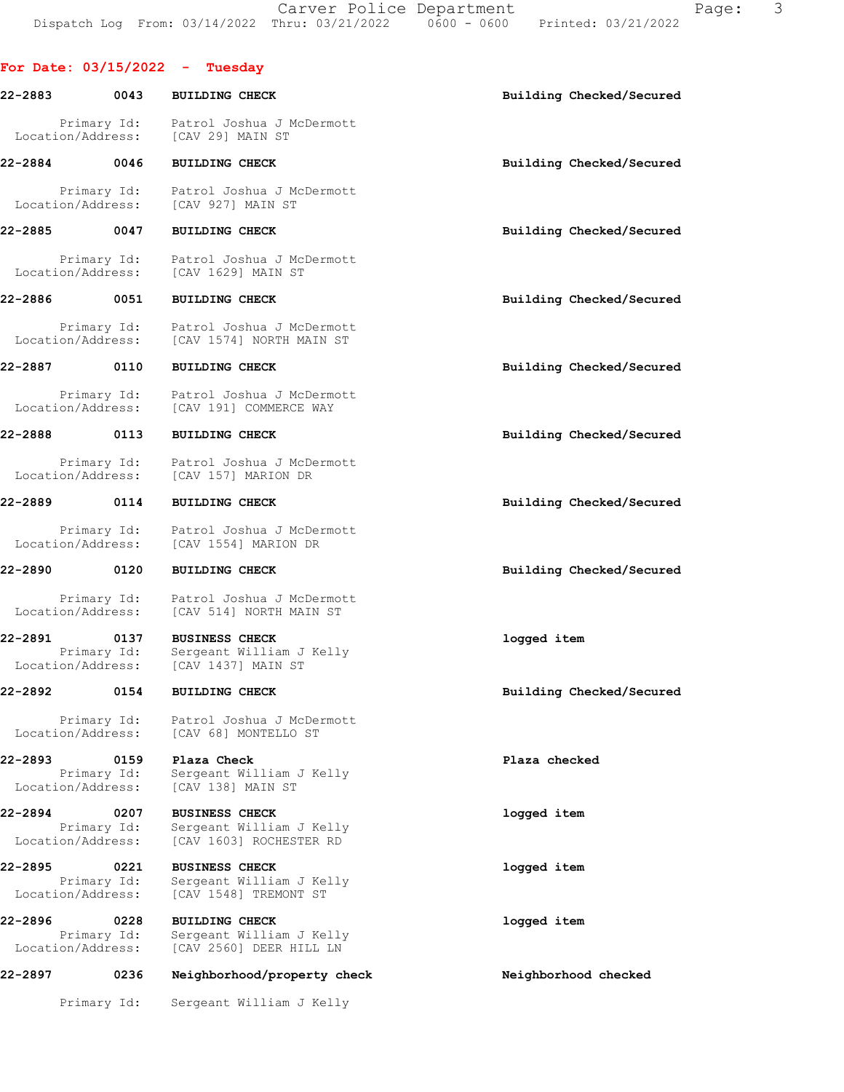|                              |                     | For Date: $03/15/2022 - Tuesday$                                           |                          |
|------------------------------|---------------------|----------------------------------------------------------------------------|--------------------------|
| 22-2883                      | 0043                | <b>BUILDING CHECK</b>                                                      | Building Checked/Secured |
| Location/Address:            | Primary Id:         | Patrol Joshua J McDermott<br>[CAV 29] MAIN ST                              |                          |
| 22-2884                      | 0046                | <b>BUILDING CHECK</b>                                                      | Building Checked/Secured |
| Location/Address:            | Primary Id:         | Patrol Joshua J McDermott<br>[CAV 927] MAIN ST                             |                          |
| 22-2885                      | 0047                | <b>BUILDING CHECK</b>                                                      | Building Checked/Secured |
| Location/Address:            | Primary Id:         | Patrol Joshua J McDermott<br>[CAV 1629] MAIN ST                            |                          |
| 22-2886                      | 0051                | <b>BUILDING CHECK</b>                                                      | Building Checked/Secured |
| Location/Address:            | Primary Id:         | Patrol Joshua J McDermott<br>[CAV 1574] NORTH MAIN ST                      |                          |
| 22-2887                      | 0110                | <b>BUILDING CHECK</b>                                                      | Building Checked/Secured |
| Location/Address:            | Primary Id:         | Patrol Joshua J McDermott<br>[CAV 191] COMMERCE WAY                        |                          |
| 22-2888                      | 0113                | <b>BUILDING CHECK</b>                                                      | Building Checked/Secured |
| Location/Address:            | Primary Id:         | Patrol Joshua J McDermott<br>[CAV 157] MARION DR                           |                          |
| 22-2889                      | 0114                | <b>BUILDING CHECK</b>                                                      | Building Checked/Secured |
| Location/Address:            | Primary Id:         | Patrol Joshua J McDermott<br>[CAV 1554] MARION DR                          |                          |
| 22-2890                      | 0120                | <b>BUILDING CHECK</b>                                                      | Building Checked/Secured |
| Location/Address:            | Primary Id:         | Patrol Joshua J McDermott<br>[CAV 514] NORTH MAIN ST                       |                          |
| 22-2891<br>Location/Address: | 0137<br>Primary Id: | <b>BUSINESS CHECK</b><br>Sergeant William J Kelly<br>[CAV 1437] MAIN ST    | logged item              |
| 22-2892                      | 0154                | <b>BUILDING CHECK</b>                                                      | Building Checked/Secured |
| Location/Address:            | Primary Id:         | Patrol Joshua J McDermott<br>[CAV 68] MONTELLO ST                          |                          |
| 22-2893<br>Location/Address: | 0159<br>Primary Id: | Plaza Check<br>Sergeant William J Kelly<br>[CAV 138] MAIN ST               | Plaza checked            |
| 22-2894                      | 0207                | <b>BUSINESS CHECK</b>                                                      | logged item              |
| Location/Address:            | Primary Id:         | Sergeant William J Kelly<br>[CAV 1603] ROCHESTER RD                        |                          |
| 22-2895<br>Location/Address: | 0221<br>Primary Id: | <b>BUSINESS CHECK</b><br>Sergeant William J Kelly<br>[CAV 1548] TREMONT ST | logged item              |
| 22-2896                      | 0228                | <b>BUILDING CHECK</b>                                                      | logged item              |
| Location/Address:            | Primary Id:         | Sergeant William J Kelly<br>[CAV 2560] DEER HILL LN                        |                          |
| 22-2897                      | 0236                | Neighborhood/property check                                                | Neighborhood checked     |
|                              | Primary Id:         | Sergeant William J Kelly                                                   |                          |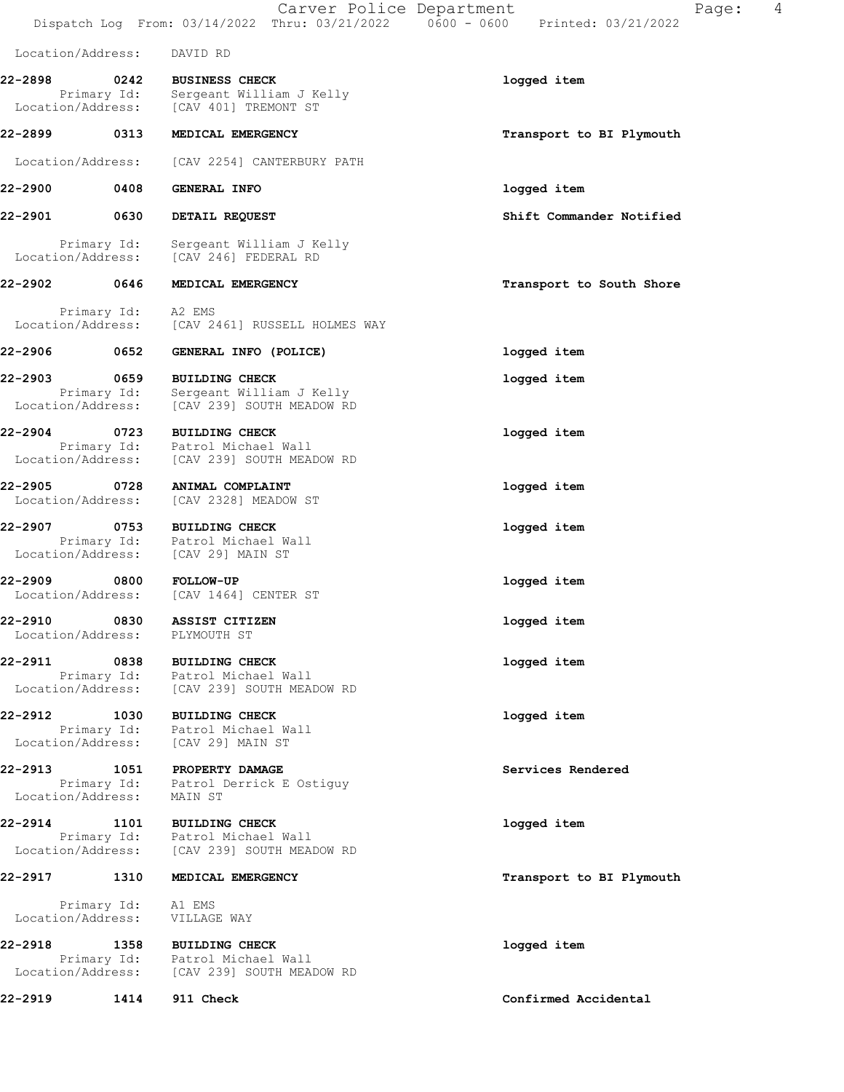Carver Police Department Fage: 4 Dispatch Log From: 03/14/2022 Thru: 03/21/2022 0600 - 0600 Printed: 03/21/2022 Location/Address: DAVID RD 22-2898 0242 BUSINESS CHECK logged item Primary Id: Sergeant William J Kelly Location/Address: [CAV 401] TREMONT ST 22-2899 0313 MEDICAL EMERGENCY **120 CONTACT 120 MEDICAL EMERGENCY** 120 METATO Transport to BI Plymouth Location/Address: [CAV 2254] CANTERBURY PATH 22-2900 0408 GENERAL INFO logged item 22-2901 0630 DETAIL REQUEST Shift Commander Notified Primary Id: Sergeant William J Kelly Location/Address: [CAV 246] FEDERAL RD 22-2902 0646 MEDICAL EMERGENCY Transport to South Shore Primary Id: A2 EMS Location/Address: [CAV 2461] RUSSELL HOLMES WAY 22-2906 0652 GENERAL INFO (POLICE) logged item 22-2903 0659 BUILDING CHECK **100000000000000000000000000000000**  Primary Id: Sergeant William J Kelly Location/Address: [CAV 239] SOUTH MEADOW RD 22-2904 0723 BUILDING CHECK logged item Primary Id: Patrol Michael Wall Location/Address: [CAV 239] SOUTH MEADOW RD 22-2905 0728 ANIMAL COMPLAINT logged item Location/Address: [CAV 2328] MEADOW ST 22-2907 0753 BUILDING CHECK logged item Primary Id: Patrol Michael Wall Location/Address: [CAV 29] MAIN ST 22-2909 0800 FOLLOW-UP<br>
Location/Address: [CAV 1464] CENTER ST [CAV 1464] CENTER ST 22-2910 0830 ASSIST CITIZEN logged item Location/Address: PLYMOUTH ST 22-2911 0838 BUILDING CHECK logged item Primary Id: Patrol Michael Wall Location/Address: [CAV 239] SOUTH MEADOW RD 22-2912 1030 BUILDING CHECK logged item Primary Id: Patrol Michael Wall Location/Address: [CAV 29] MAIN ST 22-2913 1051 PROPERTY DAMAGE Services Rendered Primary Id: Patrol Derrick E Ostiguy Location/Address: MAIN ST 22-2914 1101 BUILDING CHECK logged item Primary Id: Patrol Michael Wall Location/Address: [CAV 239] SOUTH MEADOW RD 22-2917 1310 MEDICAL EMERGENCY 1988 120 MEDICAL EMERGENCY Primary Id: A1 EMS Location/Address: VILLAGE WAY 22-2918 1358 BUILDING CHECK **120 CHECK** 10gged item Primary Id: Patrol Michael Wall Location/Address: [CAV 239] SOUTH MEADOW RD 22-2919 1414 911 Check Confirmed Accidental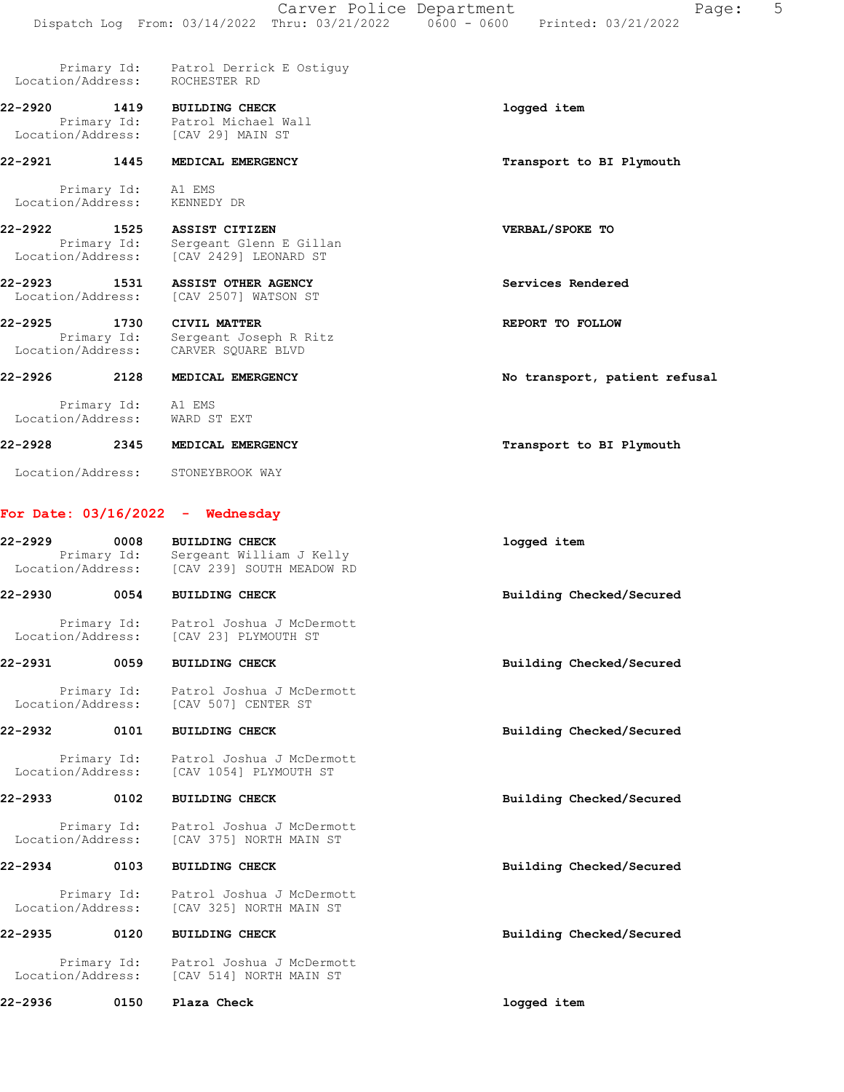| Location/Address:                |                                          | Primary Id: Patrol Derrick E Ostiquy<br>ROCHESTER RD                                           |                               |
|----------------------------------|------------------------------------------|------------------------------------------------------------------------------------------------|-------------------------------|
| $22 - 2920$                      | 1419                                     | <b>BUILDING CHECK</b><br>Primary Id: Patrol Michael Wall<br>Location/Address: [CAV 29] MAIN ST | logged item                   |
| 22-2921                          | 1445                                     | MEDICAL EMERGENCY                                                                              | Transport to BI Plymouth      |
| Location/Address:                | Primary Id:                              | A1 EMS<br>KENNEDY DR                                                                           |                               |
| 22-2922<br>Location/Address:     | 1525<br>Primary Id:                      | ASSIST CITIZEN<br>Sergeant Glenn E Gillan<br>[CAV 2429] LEONARD ST                             | VERBAL/SPOKE TO               |
| $22 - 2923$<br>Location/Address: | 1531                                     | ASSIST OTHER AGENCY<br>[CAV 2507] WATSON ST                                                    | Services Rendered             |
| $22 - 2925$                      | 1730<br>Primary Id:<br>Location/Address: | CIVIL MATTER<br>Sergeant Joseph R Ritz<br>CARVER SOUARE BLVD                                   | REPORT TO FOLLOW              |
| $22 - 2926$                      | 2128                                     | MEDICAL EMERGENCY                                                                              | No transport, patient refusal |
|                                  | Primary Id: A1 EMS<br>Location/Address:  | WARD ST EXT                                                                                    |                               |
| 22-2928                          | 2345                                     | MEDICAL EMERGENCY                                                                              | Transport to BI Plymouth      |
| Location/Address:                |                                          | STONEYBROOK WAY                                                                                |                               |
|                                  |                                          | For Date: $03/16/2022 -$ Wednesday                                                             |                               |
| 22-2929                          | 0008                                     | <b>BUILDING CHECK</b>                                                                          | logged item                   |

| $22 - 2929$       | 0008<br>Primary Id: | <b>BUILDING CHECK</b><br>Sergeant William J Kelly<br>Location/Address: [CAV 239] SOUTH MEADOW RD | logged item              |
|-------------------|---------------------|--------------------------------------------------------------------------------------------------|--------------------------|
| 22-2930           | 0054                | <b>BUILDING CHECK</b>                                                                            | Building Checked/Secured |
|                   |                     | Primary Id: Patrol Joshua J McDermott<br>Location/Address: [CAV 23] PLYMOUTH ST                  |                          |
| 22-2931           | 0059                | <b>BUILDING CHECK</b>                                                                            | Building Checked/Secured |
|                   |                     | Primary Id: Patrol Joshua J McDermott<br>Location/Address: [CAV 507] CENTER ST                   |                          |
| 22-2932           | 0101                | <b>BUILDING CHECK</b>                                                                            | Building Checked/Secured |
|                   |                     | Primary Id: Patrol Joshua J McDermott<br>Location/Address: [CAV 1054] PLYMOUTH ST                |                          |
| 22-2933           | 0102                | <b>BUILDING CHECK</b>                                                                            | Building Checked/Secured |
| Location/Address: |                     | Primary Id: Patrol Joshua J McDermott<br>[CAV 375] NORTH MAIN ST                                 |                          |
| 22-2934           | 0103                | <b>BUILDING CHECK</b>                                                                            | Building Checked/Secured |
|                   |                     | Primary Id: Patrol Joshua J McDermott<br>Location/Address: [CAV 325] NORTH MAIN ST               |                          |
| 22-2935           | 0120                | <b>BUILDING CHECK</b>                                                                            | Building Checked/Secured |
|                   | Location/Address:   | Primary Id: Patrol Joshua J McDermott<br>[CAV 514] NORTH MAIN ST                                 |                          |
| $22 - 2936$       | 0150                | Plaza Check                                                                                      | logged item              |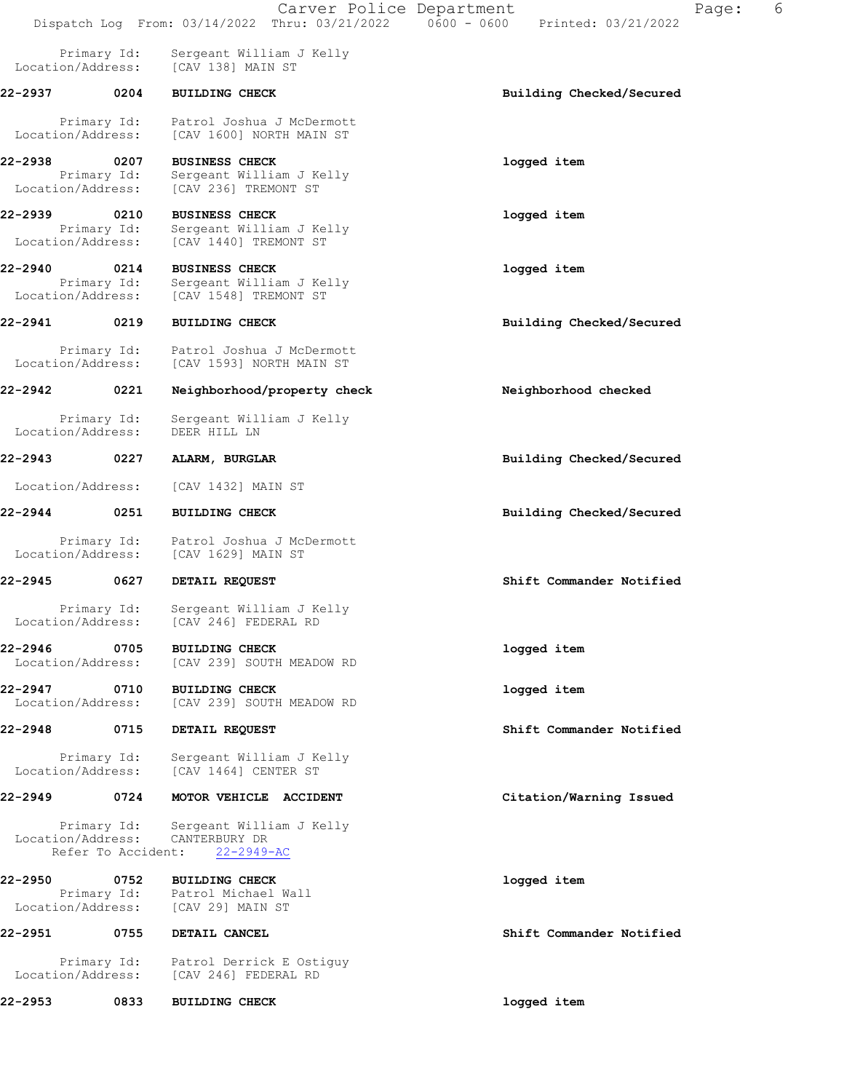|                                   |                                   | Carver Police Department<br>Dispatch Log From: 03/14/2022 Thru: 03/21/2022 0600 - 0600 | 6<br>Page:<br>Printed: 03/21/2022 |
|-----------------------------------|-----------------------------------|----------------------------------------------------------------------------------------|-----------------------------------|
|                                   | Primary Id:<br>Location/Address:  | Sergeant William J Kelly<br>[CAV 138] MAIN ST                                          |                                   |
| 22-2937 0204                      |                                   | <b>BUILDING CHECK</b>                                                                  | Building Checked/Secured          |
| Location/Address:                 | Primary Id:                       | Patrol Joshua J McDermott<br>[CAV 1600] NORTH MAIN ST                                  |                                   |
| 22-2938<br>Location/Address:      | 0207<br>Primary Id:               | <b>BUSINESS CHECK</b><br>Sergeant William J Kelly<br>[CAV 236] TREMONT ST              | logged item                       |
| 22-2939 0210<br>Location/Address: | Primary Id:                       | <b>BUSINESS CHECK</b><br>Sergeant William J Kelly<br>[CAV 1440] TREMONT ST             | logged item                       |
| 22-2940 0214<br>Location/Address: | Primary Id:                       | <b>BUSINESS CHECK</b><br>Sergeant William J Kelly<br>[CAV 1548] TREMONT ST             | logged item                       |
| 22-2941 0219                      |                                   | <b>BUILDING CHECK</b>                                                                  | Building Checked/Secured          |
|                                   | Primary Id:<br>Location/Address:  | Patrol Joshua J McDermott<br>[CAV 1593] NORTH MAIN ST                                  |                                   |
| 22-2942 0221                      |                                   | Neighborhood/property check                                                            | Neighborhood checked              |
| Location/Address:                 | Primary Id:                       | Sergeant William J Kelly<br>DEER HILL LN                                               |                                   |
| 22-2943                           | 0227                              | ALARM, BURGLAR                                                                         | Building Checked/Secured          |
| Location/Address:                 |                                   | [CAV 1432] MAIN ST                                                                     |                                   |
| 22-2944                           | 0251                              | <b>BUILDING CHECK</b>                                                                  | Building Checked/Secured          |
| Location/Address:                 | Primary Id:                       | Patrol Joshua J McDermott<br>[CAV 1629] MAIN ST                                        |                                   |
| 22-2945                           | 0627                              | DETAIL REQUEST                                                                         | Shift Commander Notified          |
| Location/Address:                 | Primary Id:                       | Sergeant William J Kelly<br>[CAV 246] FEDERAL RD                                       |                                   |
| 22-2946<br>Location/Address:      | 0705                              | <b>BUILDING CHECK</b><br>[CAV 239] SOUTH MEADOW RD                                     | logged item                       |
| 22-2947<br>Location/Address:      | 0710                              | <b>BUILDING CHECK</b><br>[CAV 239] SOUTH MEADOW RD                                     | logged item                       |
| 22-2948                           | 0715                              | DETAIL REQUEST                                                                         | Shift Commander Notified          |
| Location/Address:                 | Primary Id:                       | Sergeant William J Kelly<br>[CAV 1464] CENTER ST                                       |                                   |
| 22-2949                           | 0724                              | MOTOR VEHICLE ACCIDENT                                                                 | Citation/Warning Issued           |
| Location/Address:                 | Primary Id:<br>Refer To Accident: | Sergeant William J Kelly<br>CANTERBURY DR<br>$22 - 2949 - AC$                          |                                   |
| 22-2950<br>Location/Address:      | 0752<br>Primary Id:               | <b>BUILDING CHECK</b><br>Patrol Michael Wall<br>[CAV 29] MAIN ST                       | logged item                       |
| 22-2951                           | 0755                              | DETAIL CANCEL                                                                          | Shift Commander Notified          |
| Location/Address:                 | Primary Id:                       | Patrol Derrick E Ostiguy<br>[CAV 246] FEDERAL RD                                       |                                   |
| 22-2953                           | 0833                              | <b>BUILDING CHECK</b>                                                                  | logged item                       |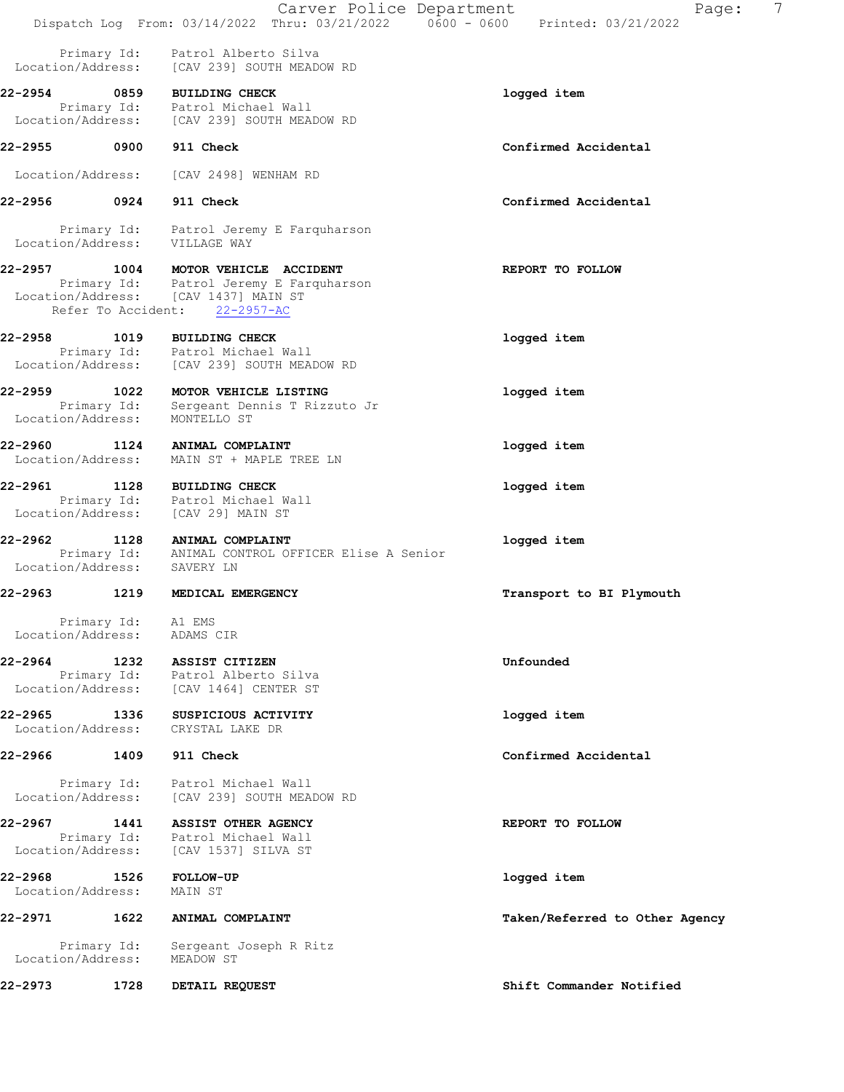|                              |                    | Carver Police Department                                                                      | Page:                          | 7 |
|------------------------------|--------------------|-----------------------------------------------------------------------------------------------|--------------------------------|---|
|                              |                    | Dispatch Log From: 03/14/2022 Thru: 03/21/2022        0600 - 0600        Printed: 03/21/2022  |                                |   |
|                              |                    | Primary Id: Patrol Alberto Silva<br>Location/Address: [CAV 239] SOUTH MEADOW RD               |                                |   |
| 22-2954 0859                 |                    | <b>BUILDING CHECK</b>                                                                         | logged item                    |   |
|                              |                    | Primary Id: Patrol Michael Wall<br>Location/Address: [CAV 239] SOUTH MEADOW RD                |                                |   |
| 22-2955 0900                 |                    | 911 Check                                                                                     | Confirmed Accidental           |   |
|                              | Location/Address:  | [CAV 2498] WENHAM RD                                                                          |                                |   |
| 22-2956 0924                 |                    | 911 Check                                                                                     | Confirmed Accidental           |   |
|                              |                    | Primary Id: Patrol Jeremy E Farquharson<br>Location/Address: VILLAGE WAY                      |                                |   |
|                              |                    | 22-2957 1004 MOTOR VEHICLE ACCIDENT                                                           | REPORT TO FOLLOW               |   |
|                              | Refer To Accident: | Primary Id: Patrol Jeremy E Farquharson<br>Location/Address: [CAV 1437] MAIN ST<br>22-2957-AC |                                |   |
|                              |                    | 22-2958 1019 BUILDING CHECK                                                                   | logged item                    |   |
| Location/Address:            |                    | Primary Id: Patrol Michael Wall<br>[CAV 239] SOUTH MEADOW RD                                  |                                |   |
| 22-2959 1022                 |                    | MOTOR VEHICLE LISTING                                                                         | logged item                    |   |
| Location/Address:            |                    | Primary Id: Sergeant Dennis T Rizzuto Jr<br>MONTELLO ST                                       |                                |   |
| 22-2960 1124                 | Location/Address:  | ANIMAL COMPLAINT<br>MAIN ST + MAPLE TREE LN                                                   | logged item                    |   |
|                              |                    | 22-2961 1128 BUILDING CHECK                                                                   | logged item                    |   |
|                              | Location/Address:  | Primary Id: Patrol Michael Wall<br>[CAV 29] MAIN ST                                           |                                |   |
|                              |                    | 22-2962 1128 ANIMAL COMPLAINT<br>Primary Id: ANIMAL CONTROL OFFICER Elise A Senior            | logged item                    |   |
|                              |                    | Location/Address: SAVERY LN                                                                   |                                |   |
| 22-2963                      |                    | 1219 MEDICAL EMERGENCY                                                                        | Transport to BI Plymouth       |   |
| Location/Address:            | Primary Id: A1 EMS | ADAMS CIR                                                                                     |                                |   |
| 22-2964                      |                    | 1232 ASSIST CITIZEN                                                                           | Unfounded                      |   |
| Location/Address:            |                    | Primary Id: Patrol Alberto Silva<br>[CAV 1464] CENTER ST                                      |                                |   |
| 22-2965<br>Location/Address: | 1336               | SUSPICIOUS ACTIVITY<br>CRYSTAL LAKE DR                                                        | logged item                    |   |
| 22-2966                      | 1409               | 911 Check                                                                                     | Confirmed Accidental           |   |
| Location/Address:            | Primary Id:        | Patrol Michael Wall<br>[CAV 239] SOUTH MEADOW RD                                              |                                |   |
| 22-2967<br>Location/Address: | 1441               | ASSIST OTHER AGENCY<br>Primary Id: Patrol Michael Wall<br>[CAV 1537] SILVA ST                 | REPORT TO FOLLOW               |   |
| 22-2968<br>Location/Address: | 1526               | <b>FOLLOW-UP</b><br>MAIN ST                                                                   | logged item                    |   |
| 22-2971                      | 1622               | ANIMAL COMPLAINT                                                                              | Taken/Referred to Other Agency |   |
| Location/Address:            | Primary Id:        | Sergeant Joseph R Ritz<br>MEADOW ST                                                           |                                |   |
| 22-2973                      | 1728               | DETAIL REQUEST                                                                                | Shift Commander Notified       |   |
|                              |                    |                                                                                               |                                |   |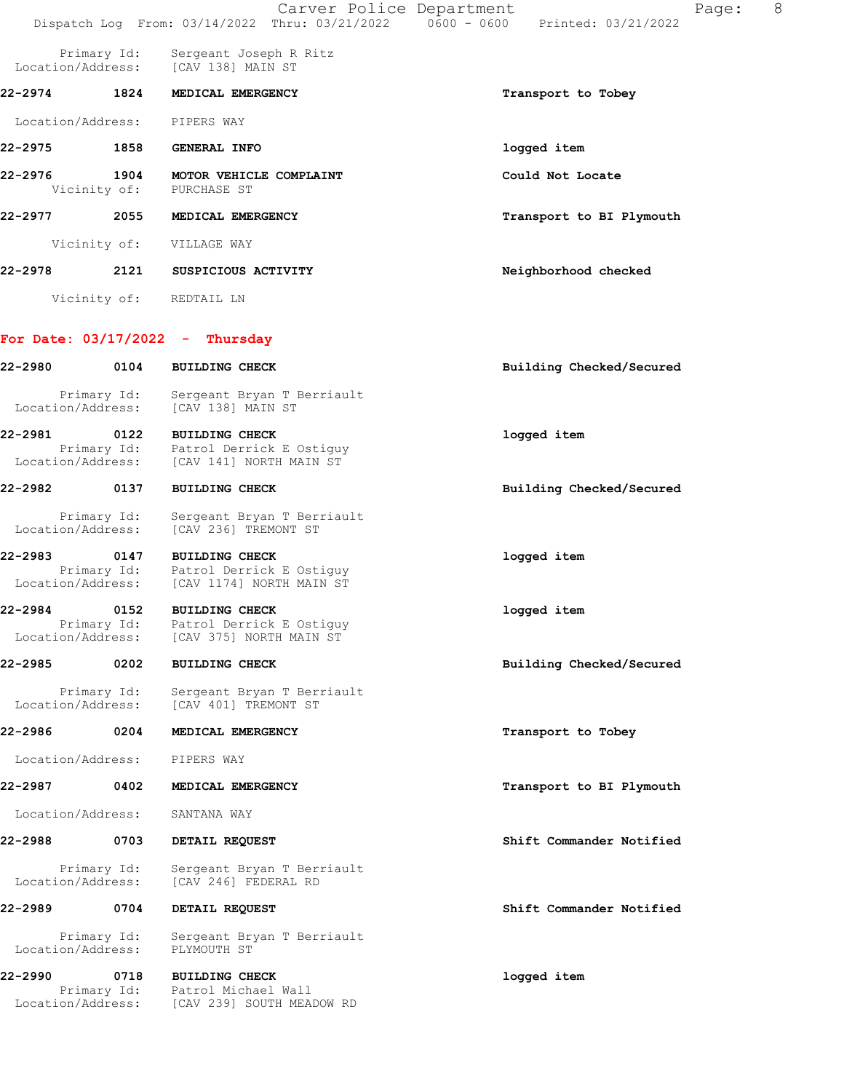|                   |                                          | Carver Police Department<br>Dispatch Log From: 03/14/2022 Thru: 03/21/2022 0600 - 0600 Printed: 03/21/2022        | Page:                    | 8 |
|-------------------|------------------------------------------|-------------------------------------------------------------------------------------------------------------------|--------------------------|---|
|                   | Primary Id:                              | Sergeant Joseph R Ritz<br>Location/Address: [CAV 138] MAIN ST                                                     |                          |   |
| 22-2974 1824      |                                          | MEDICAL EMERGENCY                                                                                                 | Transport to Tobey       |   |
| Location/Address: |                                          | PIPERS WAY                                                                                                        |                          |   |
|                   |                                          |                                                                                                                   | logged item              |   |
| 22-2976           | 1904                                     | MOTOR VEHICLE COMPLAINT<br>Vicinity of: PURCHASE ST                                                               | Could Not Locate         |   |
| 22-2977 2055      |                                          | MEDICAL EMERGENCY                                                                                                 | Transport to BI Plymouth |   |
|                   | Vicinity of:                             | VILLAGE WAY                                                                                                       |                          |   |
|                   |                                          | 22-2978 2121 SUSPICIOUS ACTIVITY                                                                                  | Neighborhood checked     |   |
|                   |                                          | Vicinity of: REDTAIL LN                                                                                           |                          |   |
|                   |                                          | For Date: 03/17/2022 - Thursday                                                                                   |                          |   |
| 22-2980 0104      |                                          | <b>BUILDING CHECK</b>                                                                                             | Building Checked/Secured |   |
|                   | Primary Id:                              | Sergeant Bryan T Berriault<br>Location/Address: [CAV 138] MAIN ST                                                 |                          |   |
|                   |                                          | 22-2981 0122 BUILDING CHECK<br>Primary Id: Patrol Derrick E Ostiguy<br>Location/Address: [CAV 141] NORTH MAIN ST  | logged item              |   |
| 22-2982 0137      |                                          | <b>BUILDING CHECK</b>                                                                                             | Building Checked/Secured |   |
| Location/Address: | Primary Id:                              | Sergeant Bryan T Berriault<br>[CAV 236] TREMONT ST                                                                |                          |   |
|                   |                                          | 22-2983 0147 BUILDING CHECK<br>Primary Id: Patrol Derrick E Ostiguy<br>Location/Address: [CAV 1174] NORTH MAIN ST | logged item              |   |
| 22-2984           | 0152                                     | <b>BUILDING CHECK</b>                                                                                             | logged item              |   |
| Location/Address: | Primary Id:                              | Patrol Derrick E Ostiguy<br>[CAV 375] NORTH MAIN ST                                                               |                          |   |
| 22-2985 0202      |                                          | <b>BUILDING CHECK</b>                                                                                             | Building Checked/Secured |   |
| Location/Address: | Primary Id:                              | Sergeant Bryan T Berriault<br>[CAV 401] TREMONT ST                                                                |                          |   |
| 22-2986 0204      |                                          | MEDICAL EMERGENCY                                                                                                 | Transport to Tobey       |   |
| Location/Address: |                                          | PIPERS WAY                                                                                                        |                          |   |
| 22-2987           | 0402                                     | MEDICAL EMERGENCY                                                                                                 | Transport to BI Plymouth |   |
| Location/Address: |                                          | SANTANA WAY                                                                                                       |                          |   |
|                   | 0703                                     | DETAIL REQUEST                                                                                                    | Shift Commander Notified |   |
| Location/Address: | Primary Id:                              | Sergeant Bryan T Berriault<br>[CAV 246] FEDERAL RD                                                                |                          |   |
| 22-2989 0704      |                                          | DETAIL REQUEST                                                                                                    | Shift Commander Notified |   |
| Location/Address: | Primary Id:                              | Sergeant Bryan T Berriault<br>PLYMOUTH ST                                                                         |                          |   |
| 22-2990           | 0718<br>Primary Id:<br>Location/Address: | <b>BUILDING CHECK</b><br>Patrol Michael Wall<br>[CAV 239] SOUTH MEADOW RD                                         | logged item              |   |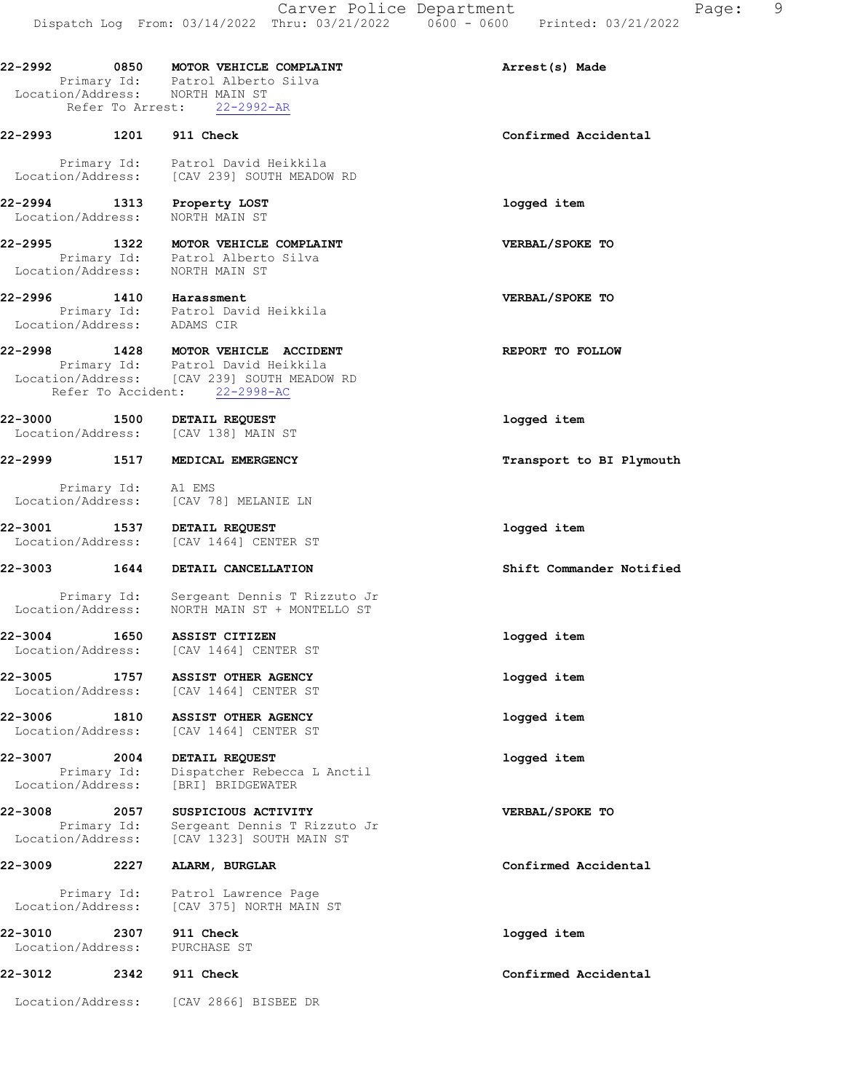22-2992 0850 MOTOR VEHICLE COMPLAINT Arrest(s) Made Primary Id: Patrol Alberto Silva Location/Address: NORTH MAIN ST Refer To Arrest: 22-2992-AR 22-2993 1201 911 Check Confirmed Accidental Primary Id: Patrol David Heikkila Location/Address: [CAV 239] SOUTH MEADOW RD 22-2994 1313 Property LOST logged item Location/Address: NORTH MAIN ST 22-2995 1322 MOTOR VEHICLE COMPLAINT VERBAL/SPOKE TO Primary Id: Patrol Alberto Silva Location/Address: NORTH MAIN ST 22-2996 1410 Harassment VERBAL/SPOKE TO Primary Id: Patrol David Heikkila Location/Address: ADAMS CIR 22-2998 1428 MOTOR VEHICLE ACCIDENT NEPORT TO FOLLOW Primary Id: Patrol David Heikkila Location/Address: [CAV 239] SOUTH MEADOW RD Refer To Accident: 22-2998-AC 22-3000 1500 DETAIL REQUEST logged item Location/Address: [CAV 138] MAIN ST 22-2999 1517 MEDICAL EMERGENCY **120 CONTACT 120 TEADS** Transport to BI Plymouth Primary Id: A1 EMS Location/Address: [CAV 78] MELANIE LN 22-3001 1537 DETAIL REQUEST logged item Location/Address: [CAV 1464] CENTER ST 22-3003 1644 DETAIL CANCELLATION Shift Commander Notified Primary Id: Sergeant Dennis T Rizzuto Jr Location/Address: NORTH MAIN ST + MONTELLO ST 22-3004 1650 ASSIST CITIZEN logged item Location/Address: [CAV 1464] CENTER ST 22-3005 1757 ASSIST OTHER AGENCY logged item Location/Address: [CAV 1464] CENTER ST 22-3006 1810 ASSIST OTHER AGENCY logged item Location/Address: [CAV 1464] CENTER ST 22-3007 2004 DETAIL REQUEST logged item Primary Id: Dispatcher Rebecca L Anctil Location/Address: [BRI] BRIDGEWATER 22-3008 2057 SUSPICIOUS ACTIVITY **12000 VERBAL/SPOKE** TO Primary Id: Sergeant Dennis T Rizzuto Jr<br>Location/Address: [CAV 1323] SOUTH MAIN ST [CAV 1323] SOUTH MAIN ST 22-3009 2227 ALARM, BURGLAR Confirmed Accidental Primary Id: Patrol Lawrence Page Location/Address: [CAV 375] NORTH MAIN ST 22-3010 2307 911 Check logged item Location/Address: PURCHASE ST 22-3012 2342 911 Check Confirmed Accidental

Location/Address: [CAV 2866] BISBEE DR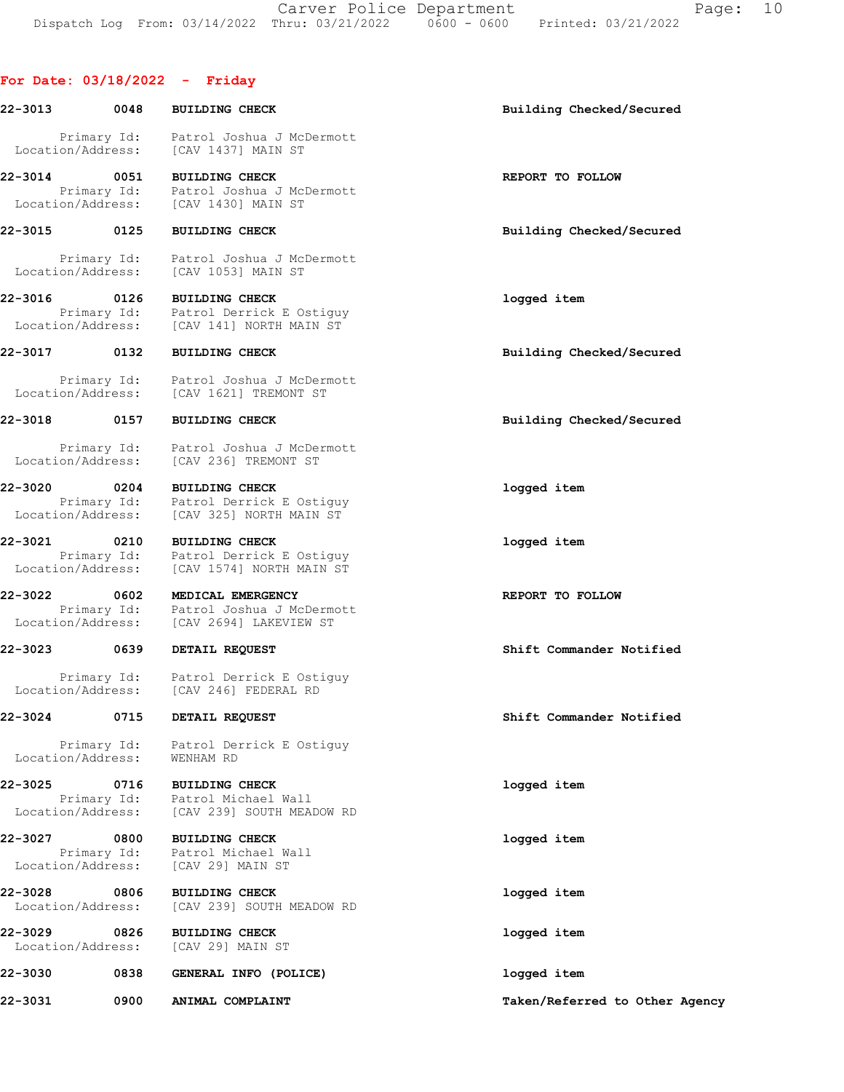Carver Police Department Fage: 10 Dispatch Log From: 03/14/2022 Thru: 03/21/2022 0600 - 0600 Printed: 03/21/2022

# For Date: 03/18/2022 - Friday

| 22-3013                      | 0048        | <b>BUILDING CHECK</b>                                                                                                             | Building Checked/Secured       |
|------------------------------|-------------|-----------------------------------------------------------------------------------------------------------------------------------|--------------------------------|
| Location/Address:            |             | Primary Id: Patrol Joshua J McDermott<br>[CAV 1437] MAIN ST                                                                       |                                |
| 22-3014                      | 0051        | <b>BUILDING CHECK</b><br>Primary Id: Patrol Joshua J McDermott<br>Location/Address: [CAV 1430] MAIN ST                            | REPORT TO FOLLOW               |
| 22-3015                      | 0125        | <b>BUILDING CHECK</b>                                                                                                             | Building Checked/Secured       |
|                              | Primary Id: | Patrol Joshua J McDermott<br>Location/Address: [CAV 1053] MAIN ST                                                                 |                                |
| 22-3016                      | 0126        | <b>BUILDING CHECK</b><br>0126 BUILDING CHECK<br>Primary Id: Patrol Derrick E Ostiguy<br>Location/Address: [CAV 141] NORTH MAIN ST | logged item                    |
| 22-3017 0132                 |             | <b>BUILDING CHECK</b>                                                                                                             | Building Checked/Secured       |
|                              |             | Primary Id: Patrol Joshua J McDermott<br>Location/Address: [CAV 1621] TREMONT ST                                                  |                                |
| 22-3018 0157                 |             | <b>BUILDING CHECK</b>                                                                                                             | Building Checked/Secured       |
| Location/Address:            |             | Primary Id: Patrol Joshua J McDermott<br>[CAV 236] TREMONT ST                                                                     |                                |
| 22-3020                      |             | 0204 BUILDING CHECK<br>Primary Id: Patrol Derrick E Ostiguy                                                                       | logged item                    |
|                              |             | Location/Address: [CAV 325] NORTH MAIN ST                                                                                         |                                |
| 22-3021                      | 0210        | <b>BUILDING CHECK</b><br>Primary Id: Patrol Derrick E Ostiguy<br>Location/Address: [CAV 1574] NORTH MAIN ST                       | logged item                    |
| 22-3022                      | 0602        | MEDICAL EMERGENCY                                                                                                                 | REPORT TO FOLLOW               |
| Location/Address:            |             | Primary Id: Patrol Joshua J McDermott<br>[CAV 2694] LAKEVIEW ST                                                                   |                                |
| 22-3023                      | 0639        | DETAIL REQUEST                                                                                                                    | Shift Commander Notified       |
| Location/Address:            |             | Primary Id: Patrol Derrick E Ostiguy<br>[CAV 246] FEDERAL RD                                                                      |                                |
| 22-3024                      | 0715        | DETAIL REQUEST                                                                                                                    | Shift Commander Notified       |
|                              |             | Primary Id: Patrol Derrick E Ostiguy<br>Location/Address: WENHAM RD                                                               |                                |
| 22-3025                      |             | 0716 BUILDING CHECK<br>Primary Id: Patrol Michael Wall                                                                            | logged item                    |
|                              |             | Location/Address: [CAV 239] SOUTH MEADOW RD                                                                                       |                                |
| 22-3027<br>Location/Address: | 0800        | <b>BUILDING CHECK</b><br>Primary Id: Patrol Michael Wall<br>[CAV 29] MAIN ST                                                      | logged item                    |
| 22-3028<br>Location/Address: | 0806        | <b>BUILDING CHECK</b><br>[CAV 239] SOUTH MEADOW RD                                                                                | logged item                    |
| 22-3029<br>Location/Address: | 0826        | <b>BUILDING CHECK</b><br>[CAV 29] MAIN ST                                                                                         | logged item                    |
| 22-3030                      | 0838        | GENERAL INFO (POLICE)                                                                                                             | logged item                    |
| 22-3031                      | 0900        | ANIMAL COMPLAINT                                                                                                                  | Taken/Referred to Other Agency |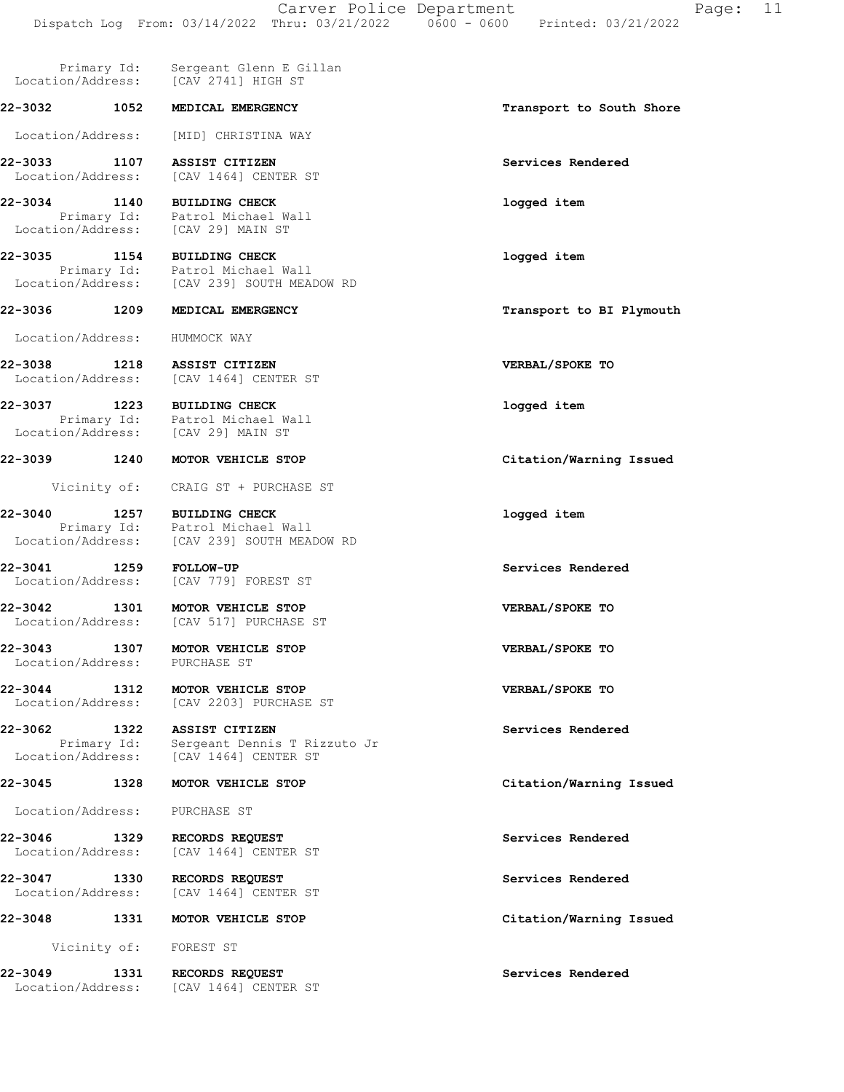Primary Id: Sergeant Glenn E Gillan<br>.on/Address: [CAV 2741] HIGH ST Location/Address: 22-3032 1052 MEDICAL EMERGENCY **1200 1200 1200 1200 1200 1200 1200** Transport to South Shore Location/Address: [MID] CHRISTINA WAY 22-3033 1107 ASSIST CITIZEN Services Rendered Location/Address: [CAV 1464] CENTER ST 22-3034 1140 BUILDING CHECK logged item Primary Id: Patrol Michael Wall Location/Address: [CAV 29] MAIN ST 22-3035 1154 BUILDING CHECK logged item Primary Id: Patrol Michael Wall Location/Address: [CAV 239] SOUTH MEADOW RD 22-3036 1209 MEDICAL EMERGENCY **1208** Transport to BI Plymouth Location/Address: HUMMOCK WAY 22-3038 1218 ASSIST CITIZEN VERBAL/SPOKE TO Location/Address: [CAV 1464] CENTER ST 22-3037 1223 BUILDING CHECK logged item Primary Id: Patrol Michael Wall Location/Address: [CAV 29] MAIN ST 22-3039 1240 MOTOR VEHICLE STOP **1240** Citation/Warning Issued Vicinity of: CRAIG ST + PURCHASE ST 22-3040 1257 BUILDING CHECK logged item Primary Id: Patrol Michael Wall Location/Address: [CAV 239] SOUTH MEADOW RD 22-3041 1259 FOLLOW-UP Services Rendered Location/Address: [CAV 779] FOREST ST 22-3042 1301 MOTOR VEHICLE STOP VERBAL/SPOKE TO Location/Address: [CAV 517] PURCHASE ST 22-3043 1307 MOTOR VEHICLE STOP VERBAL/SPOKE TO Location/Address: PURCHASE ST 22-3044 1312 MOTOR VEHICLE STOP VERBAL/SPOKE TO Location/Address: [CAV 2203] PURCHASE ST 22-3062 1322 ASSIST CITIZEN Services Rendered Primary Id: Sergeant Dennis T Rizzuto Jr Location/Address: [CAV 1464] CENTER ST 22-3045 1328 MOTOR VEHICLE STOP Citation/Warning Issued Location/Address: PURCHASE ST 22-3046 1329 RECORDS REQUEST Services Rendered Location/Address: [CAV 1464] CENTER ST 22-3047 1330 RECORDS REQUEST Services Rendered Location/Address: [CAV 1464] CENTER ST 22-3048 1331 MOTOR VEHICLE STOP **120 Citation/Warning Issued**  Vicinity of: FOREST ST 22-3049 1331 RECORDS REQUEST Services Rendered Location/Address: [CAV 1464] CENTER ST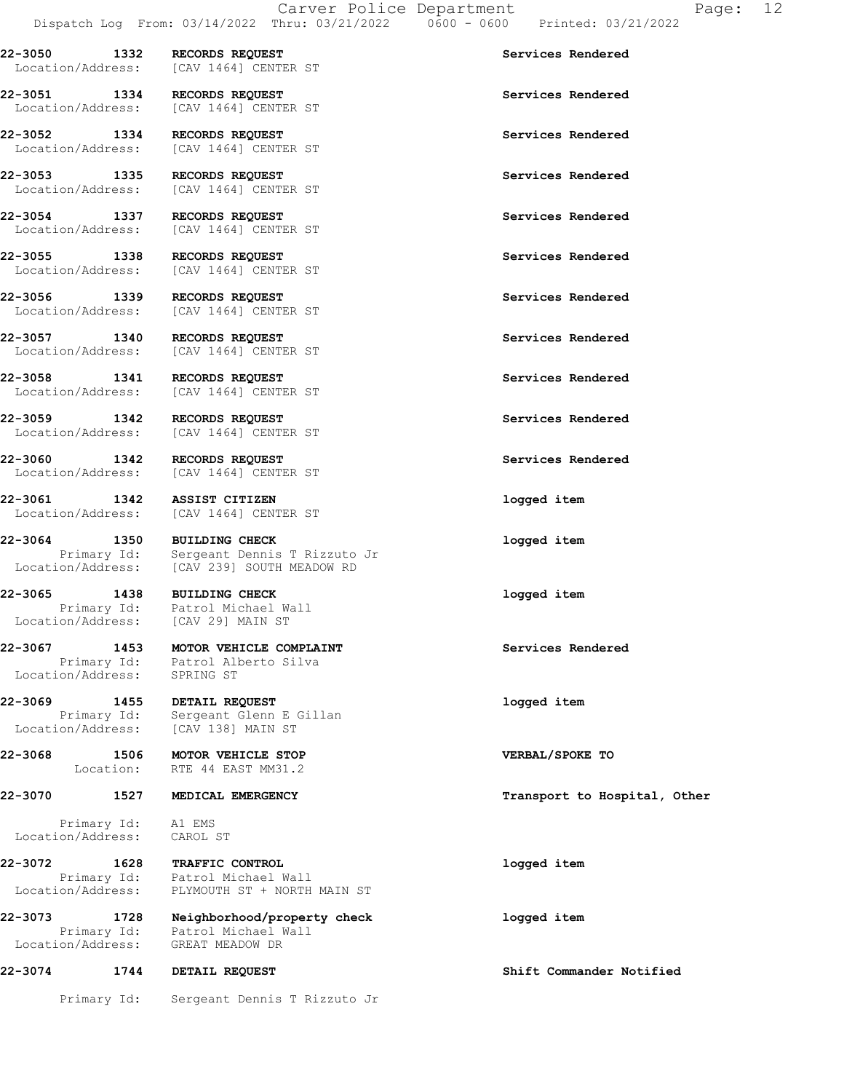22-3050 1332 RECORDS REQUEST Services Rendered Location/Address: [CAV 1464] CENTER ST

22-3055 1338 RECORDS REQUEST Services Rendered

22-3065 1438 BUILDING CHECK logged item Location/Address: [CAV 29] MAIN ST

Location/Address: SPRING ST

22-3068 1506 MOTOR VEHICLE STOP VERBAL/SPOKE TO

Primary Id: A1 EMS<br>ion/Address: CAROL ST Location/Address:

22-3051 1334 RECORDS REQUEST Services Rendered Location/Address: [CAV 1464] CENTER ST

22-3052 1334 RECORDS REQUEST Services Rendered Location/Address: [CAV 1464] CENTER ST

22-3053 1335 RECORDS REQUEST Services Rendered Location/Address: [CAV 1464] CENTER ST

22-3054 1337 RECORDS REQUEST Services Rendered Location/Address: [CAV 1464] CENTER ST

Location/Address: [CAV 1464] CENTER ST

22-3056 1339 RECORDS REQUEST SERVICES REPRISES AND RECORDS REQUEST SERVICES Rendered Services Rendered [CAV 1464] CENTER ST

22-3057 1340 RECORDS REQUEST Services Rendered Location/Address: [CAV 1464] CENTER ST

22-3058 1341 RECORDS REQUEST Services Rendered Location/Address: [CAV 1464] CENTER ST

22-3059 1342 RECORDS REQUEST Services Rendered Location/Address: [CAV 1464] CENTER ST

22-3060 1342 RECORDS REQUEST Services Rendered Location/Address: [CAV 1464] CENTER ST

22-3061 1342 ASSIST CITIZEN 1999 (1999)<br>
Location/Address: [CAV 1464] CENTER ST [CAV 1464] CENTER ST

22-3064 1350 BUILDING CHECK logged item Primary Id: Sergeant Dennis T Rizzuto Jr Location/Address: [CAV 239] SOUTH MEADOW RD

Primary Id: Patrol Michael Wall

22-3067 1453 MOTOR VEHICLE COMPLAINT Services Rendered Primary Id: Patrol Alberto Silva

22-3069 1455 DETAIL REQUEST logged item Primary Id: Sergeant Glenn E Gillan Location/Address: [CAV 138] MAIN ST

Location: RTE 44 EAST MM31.2

22-3072 1628 TRAFFIC CONTROL logged item Primary Id: Patrol Michael Wall Location/Address: PLYMOUTH ST + NORTH MAIN ST

22-3073 1728 Neighborhood/property check logged item Primary Id: Patrol Michael Wall Location/Address: GREAT MEADOW DR

22-3074 1744 DETAIL REQUEST Shift Commander Notified

Primary Id: Sergeant Dennis T Rizzuto Jr

22-3070 1527 MEDICAL EMERGENCY **120 SEARCH 120 SEARCH 120 SEARCH 120 SEARCH 120 SEARCH 120 SEARCH 120 SEARCH 120**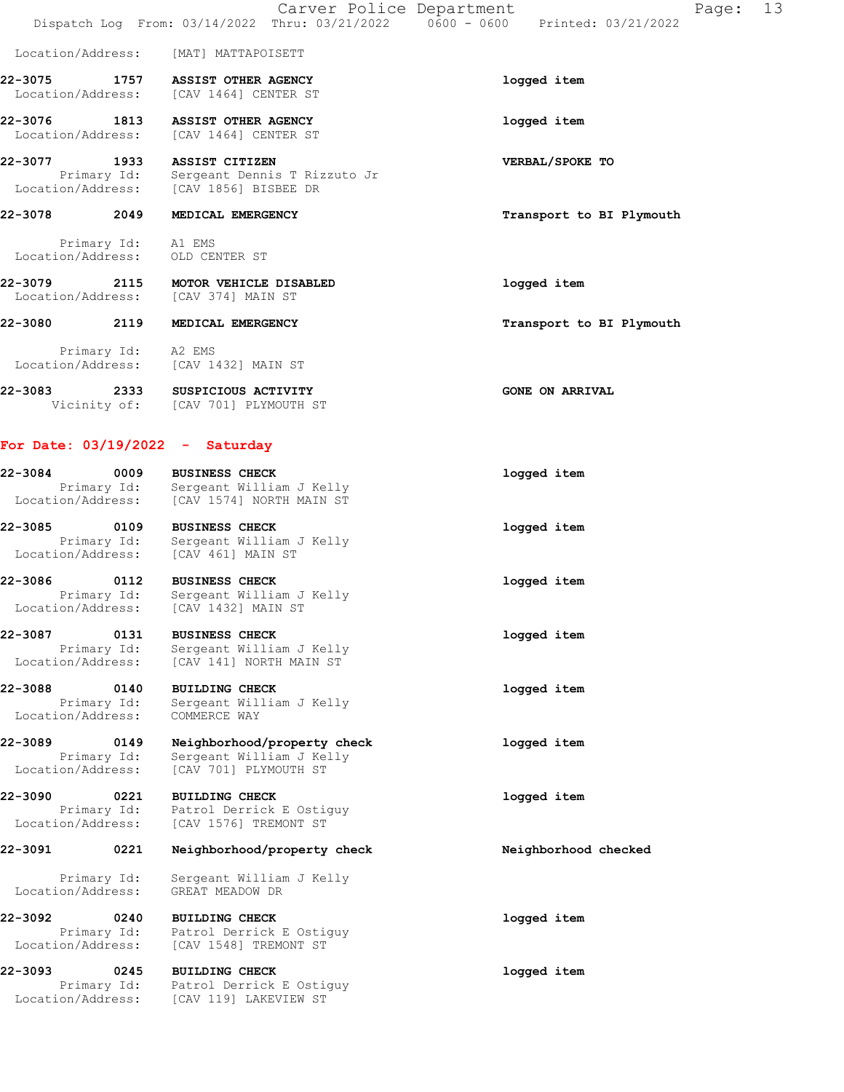Location/Address: [MAT] MATTAPOISETT

22-3075 1757 ASSIST OTHER AGENCY logged item Location/Address: [CAV 1464] CENTER ST

22-3076 1813 ASSIST OTHER AGENCY logged item Location/Address: [CAV 1464] CENTER ST

22-3077 1933 ASSIST CITIZEN VERBAL/SPOKE TO Primary Id: Sergeant Dennis T Rizzuto Jr Location/Address: [CAV 1856] BISBEE DR

## 22-3078 2049 MEDICAL EMERGENCY **1200 CONTROL** Transport to BI Plymouth

 Primary Id: A1 EMS Location/Address: OLD CENTER ST

22-3079 2115 MOTOR VEHICLE DISABLED logged item Location/Address: [CAV 374] MAIN ST

22-3080 2119 MEDICAL EMERGENCY **22-3080** Transport to BI Plymouth

 Primary Id: A2 EMS Location/Address: [CAV 1432] MAIN ST

22-3083 2333 SUSPICIOUS ACTIVITY CONE ON ARRIVAL Vicinity of: [CAV 701] PLYMOUTH ST

### For Date: 03/19/2022 - Saturday

| 22-3084           | 0009        | <b>BUSINESS CHECK</b>    | logged item |
|-------------------|-------------|--------------------------|-------------|
|                   | Primary Id: | Sergeant William J Kelly |             |
| Location/Address: |             | [CAV 1574] NORTH MAIN ST |             |
| 22-3085           | 0109        | <b>BUSINESS CHECK</b>    | logged item |
|                   | Primary Id: | Sergeant William J Kelly |             |
| Location/Address: |             | [CAV 461] MAIN ST        |             |
|                   |             |                          |             |

22-3086 0112 BUSINESS CHECK logged item Primary Id: Sergeant William J Kelly Location/Address: [CAV 1432] MAIN ST

22-3087 0131 BUSINESS CHECK logged item Primary Id: Sergeant William J Kelly Location/Address: [CAV 141] NORTH MAIN ST

22-3088 0140 BUILDING CHECK logged item Primary Id: Sergeant William J Kelly Location/Address: COMMERCE WAY

22-3089 0149 Neighborhood/property check logged item Primary Id: Sergeant William J Kelly Location/Address: [CAV 701] PLYMOUTH ST

22-3090 0221 BUILDING CHECK **1** and the logged item Primary Id: Patrol Derrick E Ostiguy Location/Address: [CAV 1576] TREMONT ST

# 22-3091 0221 Neighborhood/property check Neighborhood checked

 Primary Id: Sergeant William J Kelly Location/Address: GREAT MEADOW DR

22-3092 0240 BUILDING CHECK logged item Primary Id: Patrol Derrick E Ostiguy Location/Address: [CAV 1548] TREMONT ST

22-3093 0245 BUILDING CHECK **120 CHECK** 10gged item Primary Id: Patrol Derrick E Ostiguy Location/Address: [CAV 119] LAKEVIEW ST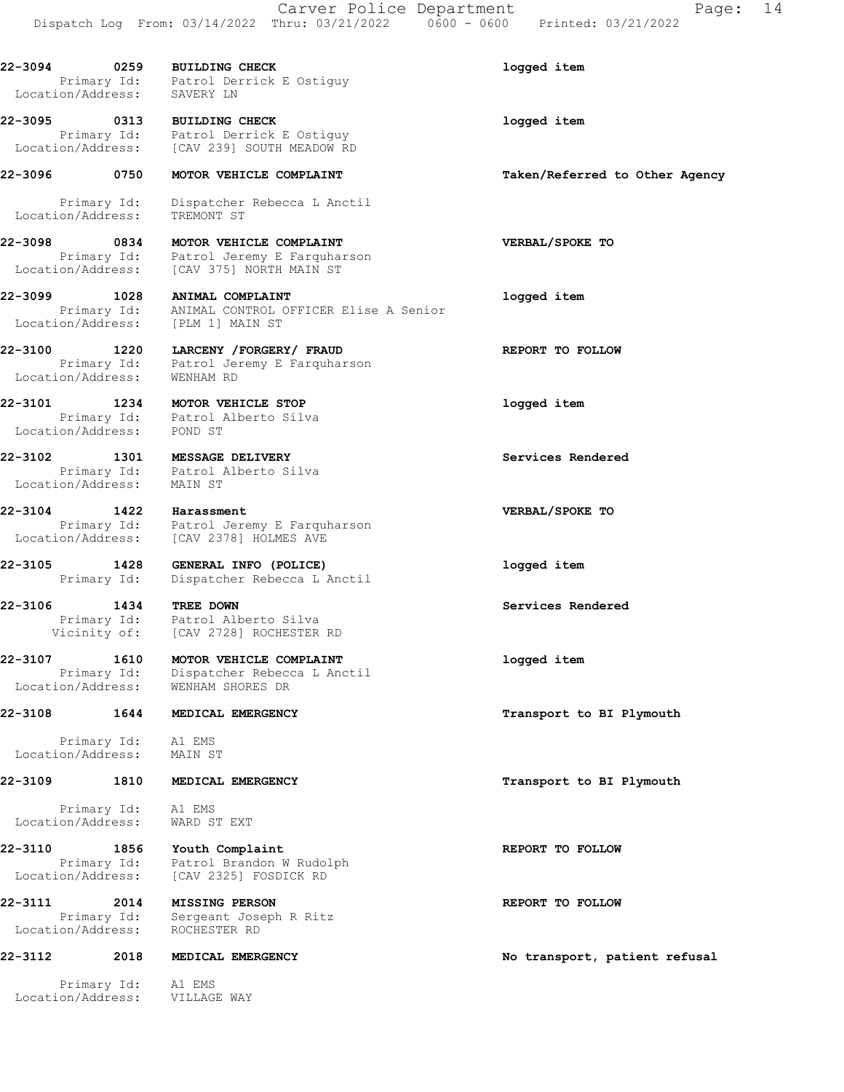22-3094 0259 BUILDING CHECK logged item Primary Id: Patrol Derrick E Ostiguy<br>ion/Address: SAVERY LN

22-3095 0313 BUILDING CHECK logged item Primary Id: Patrol Derrick E Ostiguy Location/Address: [CAV 239] SOUTH MEADOW RD

22-3096 0750 MOTOR VEHICLE COMPLAINT Taken/Referred to Other Agency

Location/Address:

 Primary Id: Dispatcher Rebecca L Anctil Location/Address: TREMONT ST

22-3098 0834 MOTOR VEHICLE COMPLAINT VERBAL/SPOKE TO Primary Id: Patrol Jeremy E Farquharson Location/Address: [CAV 375] NORTH MAIN ST

22-3099 1028 ANIMAL COMPLAINT logged item Primary Id: ANIMAL CONTROL OFFICER Elise A Senior Location/Address: [PLM 1] MAIN ST

22-3100 1220 LARCENY /FORGERY/ FRAUD **REPORT TO FOLLOW**  Primary Id: Patrol Jeremy E Farquharson Location/Address: WENHAM RD

22-3101 1234 MOTOR VEHICLE STOP 1288 22-3101 Primary Id: Patrol Alberto Silva Location/Address: POND ST

22-3102 1301 MESSAGE DELIVERY Services Rendered Primary Id: Patrol Alberto Silva Location/Address: MAIN ST

22-3104 1422 Harassment VERBAL/SPOKE TO Primary Id: Patrol Jeremy E Farquharson<br>Location/Address: [CAV 2378] HOLMES AVE [CAV 2378] HOLMES AVE

22-3105 1428 GENERAL INFO (POLICE) logged item Primary Id: Dispatcher Rebecca L Anctil

22-3106 1434 TREE DOWN Services Rendered Primary Id: Patrol Alberto Silva Vicinity of: [CAV 2728] ROCHESTER RD

22-3107 1610 MOTOR VEHICLE COMPLAINT 1099ed item<br>Primary Id: Dispatcher Rebecca L Anctil Dispatcher Rebecca L Anctil Location/Address: WENHAM SHORES DR

Primary Id: Al EMS<br>ion/Address: MAIN ST Location/Address:

#### 22-3109 1810 MEDICAL EMERGENCY **1810** Transport to BI Plymouth

Primary Id: A1 EMS<br>ion/Address: WARD ST EXT Location/Address:

22-3110 1856 Youth Complaint **REPORT TO FOLLOW**  Primary Id: Patrol Brandon W Rudolph Location/Address: [CAV 2325] FOSDICK RD

22-3111 2014 MISSING PERSON REPORT TO FOLLOW Primary Id: Sergeant Joseph R Ritz Location/Address: ROCHESTER RD

#### 22-3112 2018 MEDICAL EMERGENCY **Noting the South America** Noting patient refusal

Primary Id: A1 EMS<br>
on/Address: VILLAGE WAY Location/Address:

22-3108 1644 MEDICAL EMERGENCY **1200 1200 1200 1200 1200 1200 1200** Transport to BI Plymouth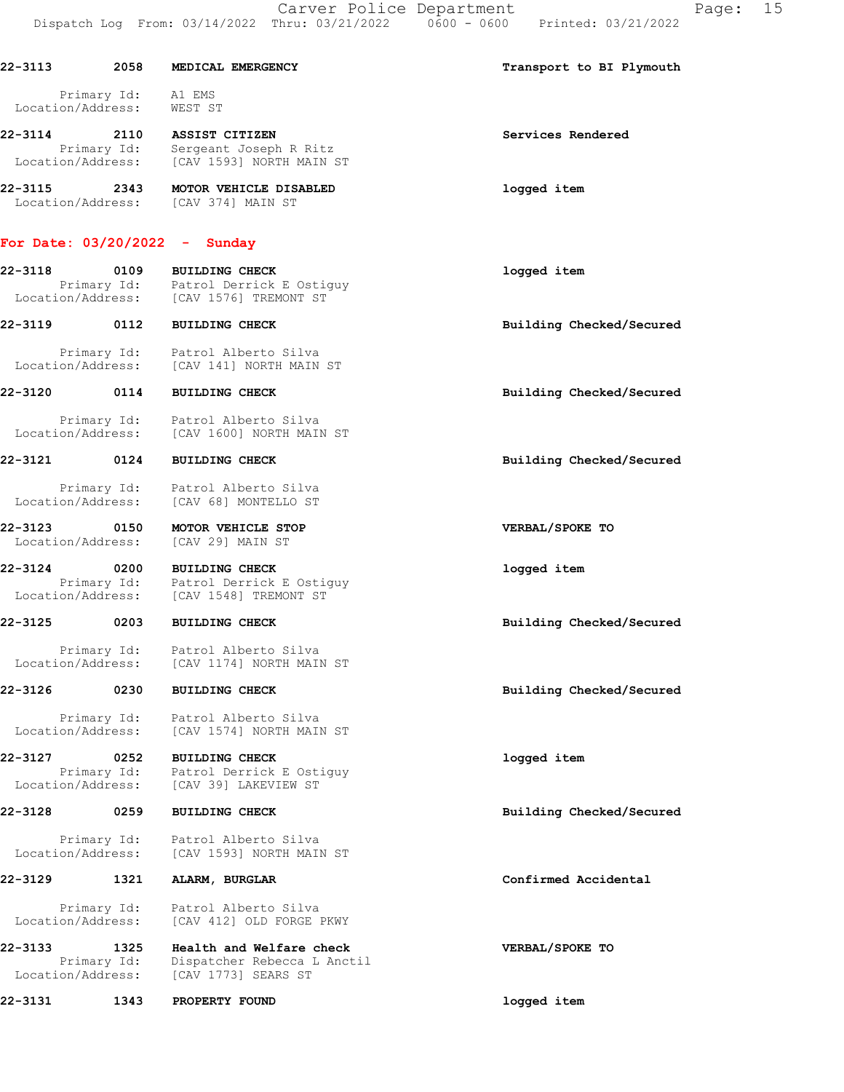|                              |                     | Dispatch Log From: 03/14/2022 Thru: 03/21/2022                                                           | 15<br>Carver Police Department<br>Page:<br>$0600 - 0600$<br>Printed: 03/21/2022 |
|------------------------------|---------------------|----------------------------------------------------------------------------------------------------------|---------------------------------------------------------------------------------|
| 22-3113                      | 2058                | MEDICAL EMERGENCY                                                                                        | Transport to BI Plymouth                                                        |
| Location/Address:            | Primary Id:         | A1 EMS<br>WEST ST                                                                                        |                                                                                 |
| 22-3114<br>Location/Address: | Primary Id:         | 2110 ASSIST CITIZEN<br>Sergeant Joseph R Ritz<br>[CAV 1593] NORTH MAIN ST                                | Services Rendered                                                               |
| $22 - 3115$                  | 2343                | MOTOR VEHICLE DISABLED<br>Location/Address: [CAV 374] MAIN ST                                            | logged item                                                                     |
|                              |                     | For Date: $03/20/2022 -$ Sunday                                                                          |                                                                                 |
| 22-3118                      | 0109                | <b>BUILDING CHECK</b><br>Primary Id: Patrol Derrick E Ostiguy<br>Location/Address: [CAV 1576] TREMONT ST | logged item                                                                     |
| 22-3119                      | 0112                | <b>BUILDING CHECK</b>                                                                                    | Building Checked/Secured                                                        |
|                              |                     | Primary Id: Patrol Alberto Silva<br>Location/Address: [CAV 141] NORTH MAIN ST                            |                                                                                 |
| 22-3120                      | 0114                | <b>BUILDING CHECK</b>                                                                                    | Building Checked/Secured                                                        |
|                              |                     | Primary Id: Patrol Alberto Silva<br>Location/Address: [CAV 1600] NORTH MAIN ST                           |                                                                                 |
| 22-3121                      | 0124                | <b>BUILDING CHECK</b>                                                                                    | Building Checked/Secured                                                        |
| Location/Address:            |                     | Primary Id: Patrol Alberto Silva<br>[CAV 68] MONTELLO ST                                                 |                                                                                 |
| 22-3123<br>Location/Address: | 0150                | MOTOR VEHICLE STOP<br>[CAV 29] MAIN ST                                                                   | VERBAL/SPOKE TO                                                                 |
| 22-3124                      |                     | 0200 BUILDING CHECK<br>Primary Id: Patrol Derrick E Ostiguy<br>Location/Address: [CAV 1548] TREMONT ST   | logged item                                                                     |
| 22-3125                      | 0203                | <b>BUILDING CHECK</b>                                                                                    | Building Checked/Secured                                                        |
| Location/Address:            | Primary Id:         | Patrol Alberto Silva<br>[CAV 1174] NORTH MAIN ST                                                         |                                                                                 |
| 22-3126                      | 0230                | <b>BUILDING CHECK</b>                                                                                    | Building Checked/Secured                                                        |
| Location/Address:            | Primary Id:         | Patrol Alberto Silva<br>[CAV 1574] NORTH MAIN ST                                                         |                                                                                 |
| 22-3127                      | 0252<br>Primary Id: | <b>BUILDING CHECK</b><br>Patrol Derrick E Ostiguy                                                        | logged item                                                                     |

22-3128 0259 BUILDING CHECK Building Checked/Secured

22-3129 1321 ALARM, BURGLAR **Confirmed Accidental** 

Location/Address: [CAV 39] LAKEVIEW ST

Primary Id: Patrol Alberto Silva

Location/Address: [CAV 1593] NORTH MAIN ST

 Primary Id: Patrol Alberto Silva Location/Address: [CAV 412] OLD FORGE PKWY

22-3133 1325 Health and Welfare check VERBAL/SPOKE TO Primary Id: Dispatcher Rebecca L Anctil Location/Address: [CAV 1773] SEARS ST

22-3131 1343 PROPERTY FOUND logged item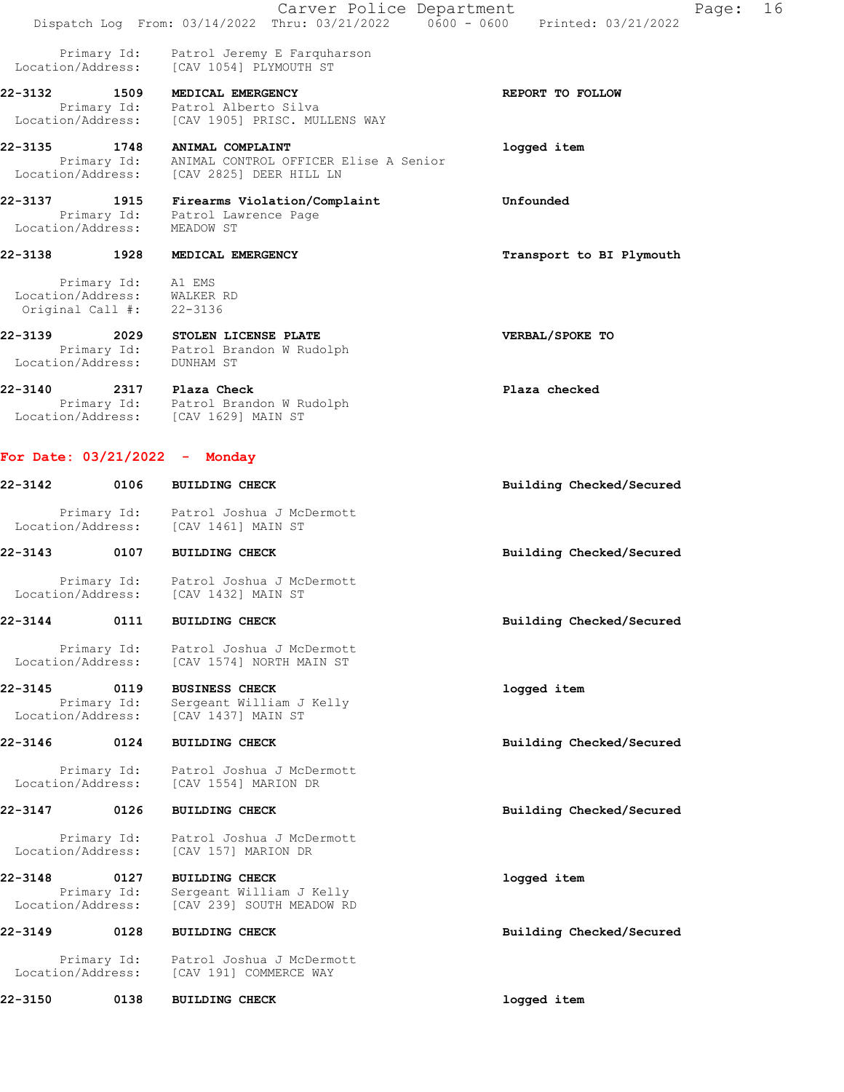|                              |                                             | Carver Police Department<br>Dispatch Log From: 03/14/2022 Thru: 03/21/2022 0600 - 0600 | Page: 16<br>Printed: 03/21/2022 |
|------------------------------|---------------------------------------------|----------------------------------------------------------------------------------------|---------------------------------|
| Location/Address:            | Primary Id:                                 | Patrol Jeremy E Farquharson<br>[CAV 1054] PLYMOUTH ST                                  |                                 |
| 22-3132 1509                 |                                             | MEDICAL EMERGENCY                                                                      | REPORT TO FOLLOW                |
| Location/Address:            | Primary Id:                                 | Patrol Alberto Silva<br>[CAV 1905] PRISC. MULLENS WAY                                  |                                 |
|                              |                                             |                                                                                        |                                 |
| 22-3135 1748                 | Primary Id:                                 | ANIMAL COMPLAINT<br>ANIMAL CONTROL OFFICER Elise A Senior                              | logged item                     |
|                              |                                             | Location/Address: [CAV 2825] DEER HILL LN                                              |                                 |
| 22-3137                      | 1915                                        | Firearms Violation/Complaint                                                           | Unfounded                       |
| Location/Address:            |                                             | Primary Id: Patrol Lawrence Page<br>MEADOW ST                                          |                                 |
| 22-3138                      | 1928                                        | MEDICAL EMERGENCY                                                                      | Transport to BI Plymouth        |
| Location/Address:            | Primary Id:<br>Original Call $\#$ : 22-3136 | A1 EMS<br>WALKER RD                                                                    |                                 |
| 22-3139<br>Location/Address: | 2029                                        | STOLEN LICENSE PLATE<br>Primary Id: Patrol Brandon W Rudolph<br>DUNHAM ST              | VERBAL/SPOKE TO                 |
|                              |                                             | 22-3140 2317 Plaza Check                                                               | Plaza checked                   |
|                              |                                             | Primary Id: Patrol Brandon W Rudolph<br>Location/Address: [CAV 1629] MAIN ST           |                                 |
| 22-3142                      | 0106                                        | For Date: $03/21/2022 -$ Monday<br><b>BUILDING CHECK</b>                               | Building Checked/Secured        |
| Location/Address:            |                                             | Primary Id: Patrol Joshua J McDermott<br>[CAV 1461] MAIN ST                            |                                 |
| 22-3143                      | 0107                                        | <b>BUILDING CHECK</b>                                                                  | Building Checked/Secured        |
|                              |                                             | Primary Id: Patrol Joshua J McDermott<br>Location/Address: [CAV 1432] MAIN ST          |                                 |
| $22 - 3144$                  | 0111                                        | <b>BUILDING CHECK</b>                                                                  | Building Checked/Secured        |
| Location/Address:            | Primary Id:                                 | Patrol Joshua J McDermott<br>[CAV 1574] NORTH MAIN ST                                  |                                 |
| 22-3145                      | 0119                                        | <b>BUSINESS CHECK</b>                                                                  | logged item                     |
| Location/Address:            | Primary Id:                                 | Sergeant William J Kelly<br>[CAV 1437] MAIN ST                                         |                                 |
| 22-3146                      | 0124                                        | <b>BUILDING CHECK</b>                                                                  | Building Checked/Secured        |
| Location/Address:            | Primary Id:                                 | Patrol Joshua J McDermott<br>[CAV 1554] MARION DR                                      |                                 |
| 22-3147                      | 0126                                        | <b>BUILDING CHECK</b>                                                                  | Building Checked/Secured        |
| Location/Address:            | Primary Id:                                 | Patrol Joshua J McDermott<br>[CAV 157] MARION DR                                       |                                 |
| 22-3148                      | 0127                                        | <b>BUILDING CHECK</b>                                                                  | logged item                     |
| Location/Address:            | Primary Id:                                 | Sergeant William J Kelly<br>[CAV 239] SOUTH MEADOW RD                                  |                                 |
| 22-3149                      | 0128                                        | <b>BUILDING CHECK</b>                                                                  | Building Checked/Secured        |

 Primary Id: Patrol Joshua J McDermott Location/Address: [CAV 191] COMMERCE WAY

22-3150 0138 BUILDING CHECK **120 CHECK** 22-3150